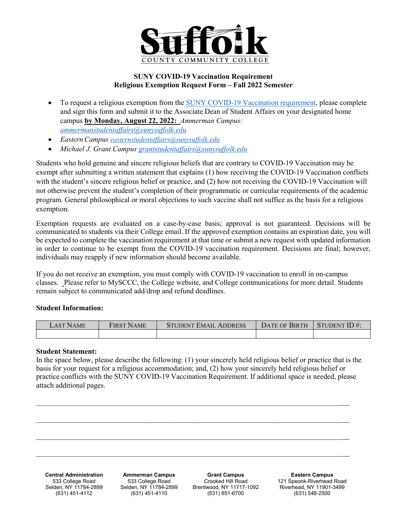

## **SUNY COVID-19 Vaccination Requirement Religious Exemption Request Form – Fall 2022 Semester**

- To request a religious exemption from the [SUNY COVID-19 Vaccination requirement,](https://www.suny.edu/sunypp/documents.cfm?doc_id=900) please complete and sign this form and submit it to the Associate Dean of Student Affairs on your designated home campus **by Monday, August 22, 2022:** *Ammerman Campus: [ammermanstudentaffairs@sunysuffolk.edu](mailto:ammermanstudentaffairs@sunysuffolk.edu)*
- *EasternCampus [easternstudentaffairs@sunysuffolk.edu](mailto:easternstudentaffairs@sunysuffolk.edu)*
- *Michael J. Grant Campus [grantstudentaffairs@sunysuffolk.edu](mailto:grantstudentaffairs@sunysuffolk.edu)*

Students who hold genuine and sincere religious beliefs that are contrary to COVID-19 Vaccination may be exempt after submitting a written statement that explains (1) how receiving the COVID-19 Vaccination conflicts with the student's sincere religious belief or practice, and (2) how not receiving the COVID-19 Vaccination will not otherwise prevent the student's completion of their programmatic or curricular requirements of the academic program. General philosophical or moral objections to such vaccine shall not suffice as the basis for a religious exemption.

Exemption requests are evaluated on a case-by-case basis; approval is not guaranteed. Decisions will be communicated to students via their College email. If the approved exemption contains an expiration date, you will be expected to complete the vaccination requirement at that time or submit a new request with updated information in order to continue to be exempt from the COVID-19 vaccination requirement. Decisions are final; however, individuals may reapply if new information should become available.

If you do not receive an exemption, you must comply with COVID-19 vaccination to enroll in on-campus classes. Please refer to MySCCC, the College website, and College communications for more detail. Students remain subject to communicated add/drop and refund deadlines.

## **Student Information:**

| _AST l<br>'N AME | <sup>t</sup> irst Name | <b>STUDENT EMAIL ADDRESS</b> | Date of Birth | STUDENT $ID#$ : |
|------------------|------------------------|------------------------------|---------------|-----------------|
|                  |                        |                              |               |                 |

## **Student Statement:**

In the space below, please describe the following: (1) your sincerely held religious belief or practice that is the basis for your request for a religious accommodation; and, (2) how your sincerely held religious belief or practice conflicts with the SUNY COVID-19 Vaccination Requirement. If additional space is needed, please attach additional pages.



 $\_$  , and the set of the set of the set of the set of the set of the set of the set of the set of the set of the set of the set of the set of the set of the set of the set of the set of the set of the set of the set of th

**Central Administration** 533 College Road Selden, NY 11784-2899 (631) 451-4112

**Ammerman Campus** 533 College Road Selden, NY 11784-2899 (631) 451-4110

**Grant Campus** Crooked Hill Road Brentwood, NY 11717-1092 (631) 851-6700

**Eastern Campus** 121 Speonk-Riverhead Road Riverhead, NY 11901-3499 (631) 548-2500